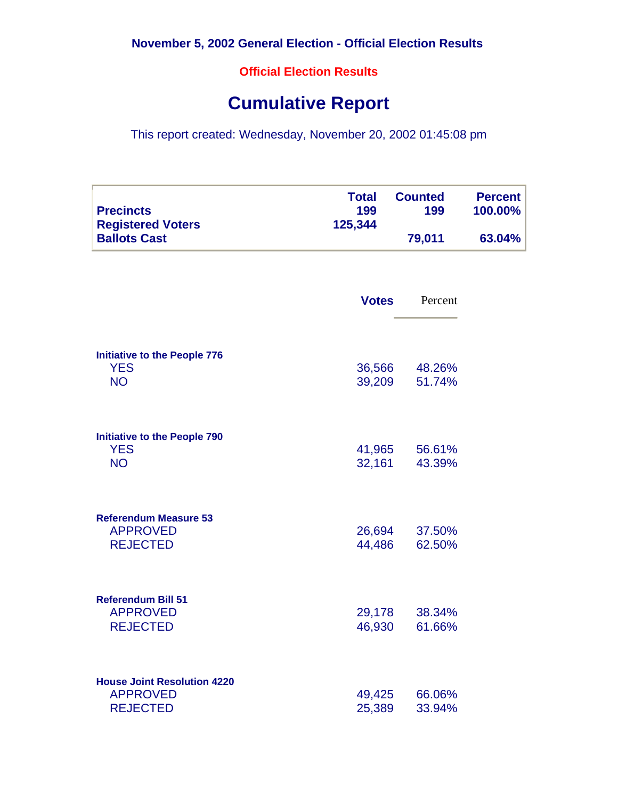**Official Election Results**

## **Cumulative Report**

This report created: Wednesday, November 20, 2002 01:45:08 pm

| <b>Precincts</b>         | 199     | 199    | 100.00% |
|--------------------------|---------|--------|---------|
| <b>Registered Voters</b> | 125,344 |        |         |
| <b>Ballots Cast</b>      |         | 79,011 | 63.04%  |

|                                                                          | <b>Votes</b>     | Percent          |
|--------------------------------------------------------------------------|------------------|------------------|
| <b>Initiative to the People 776</b><br><b>YES</b><br><b>NO</b>           | 36,566<br>39,209 | 48.26%<br>51.74% |
| <b>Initiative to the People 790</b><br><b>YES</b><br><b>NO</b>           | 41,965<br>32,161 | 56.61%<br>43.39% |
| <b>Referendum Measure 53</b><br><b>APPROVED</b><br><b>REJECTED</b>       | 26,694<br>44,486 | 37.50%<br>62.50% |
| <b>Referendum Bill 51</b><br><b>APPROVED</b><br><b>REJECTED</b>          | 29,178<br>46,930 | 38.34%<br>61.66% |
| <b>House Joint Resolution 4220</b><br><b>APPROVED</b><br><b>REJECTED</b> | 49,425<br>25,389 | 66.06%<br>33.94% |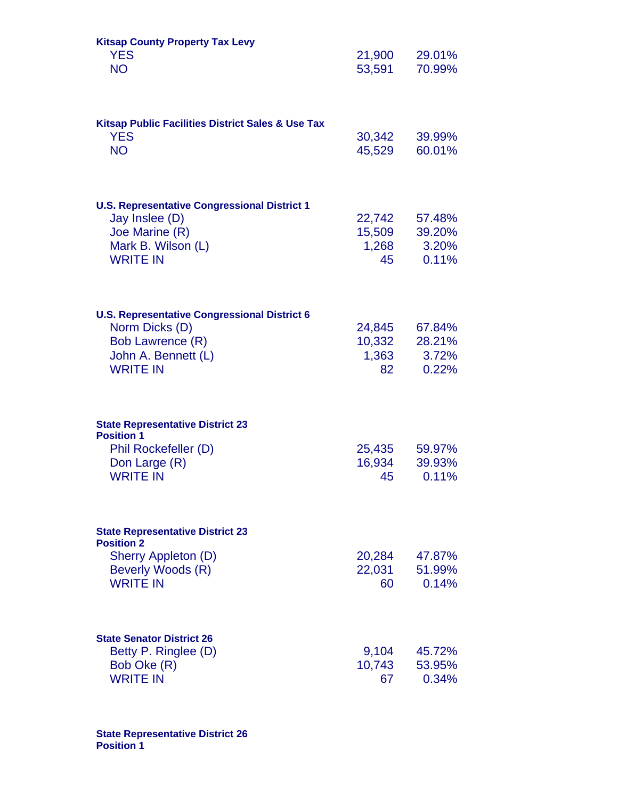| <b>Kitsap County Property Tax Levy</b><br><b>YES</b><br><b>NO</b>                                                                   | 21,900<br>53,591                | 29.01%<br>70.99%                   |
|-------------------------------------------------------------------------------------------------------------------------------------|---------------------------------|------------------------------------|
| <b>Kitsap Public Facilities District Sales &amp; Use Tax</b><br><b>YES</b><br><b>NO</b>                                             | 30,342<br>45,529                | 39.99%<br>60.01%                   |
| <b>U.S. Representative Congressional District 1</b><br>Jay Inslee (D)<br>Joe Marine (R)<br>Mark B. Wilson (L)<br><b>WRITE IN</b>    | 22,742<br>15,509<br>1,268<br>45 | 57.48%<br>39.20%<br>3.20%<br>0.11% |
| <b>U.S. Representative Congressional District 6</b><br>Norm Dicks (D)<br>Bob Lawrence (R)<br>John A. Bennett (L)<br><b>WRITE IN</b> | 24,845<br>10,332<br>1,363<br>82 | 67.84%<br>28.21%<br>3.72%<br>0.22% |
| <b>State Representative District 23</b><br><b>Position 1</b><br>Phil Rockefeller (D)<br>Don Large (R)<br><b>WRITE IN</b>            | 25,435<br>16,934<br>45          | 59.97%<br>39.93%<br>0.11%          |
| <b>State Representative District 23</b><br><b>Position 2</b><br>Sherry Appleton (D)<br>Beverly Woods (R)<br><b>WRITE IN</b>         | 20,284<br>22,031<br>60          | 47.87%<br>51.99%<br>0.14%          |
| <b>State Senator District 26</b><br>Betty P. Ringlee (D)<br>Bob Oke (R)<br><b>WRITE IN</b>                                          | 9,104<br>10,743<br>67           | 45.72%<br>53.95%<br>0.34%          |

**State Representative District 26 Position 1**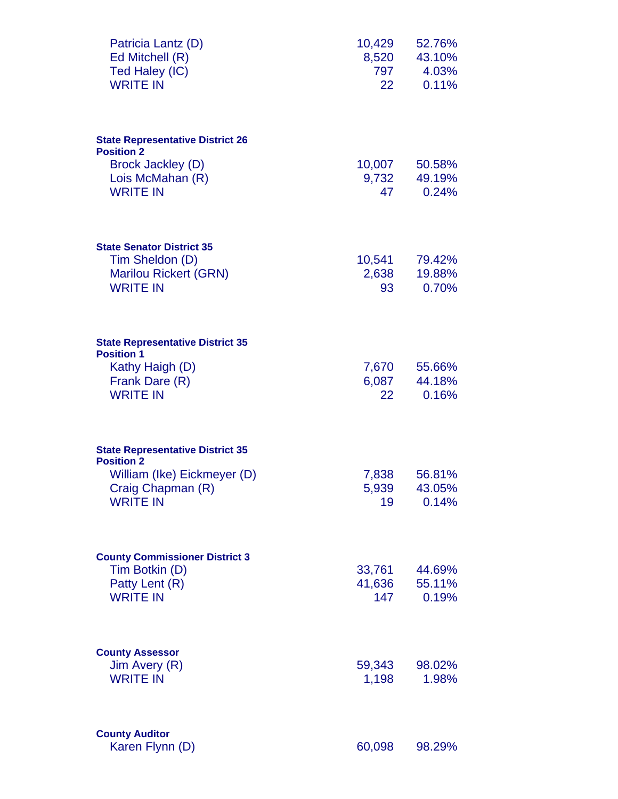| Patricia Lantz (D)<br>Ed Mitchell (R)<br>Ted Haley (IC)<br><b>WRITE IN</b>                                                          | 10,429<br>8,520<br>797<br>22      | 52.76%<br>43.10%<br>4.03%<br>0.11% |
|-------------------------------------------------------------------------------------------------------------------------------------|-----------------------------------|------------------------------------|
| <b>State Representative District 26</b><br><b>Position 2</b>                                                                        |                                   |                                    |
| Brock Jackley (D)<br>Lois McMahan (R)<br><b>WRITE IN</b>                                                                            | 10,007<br>9,732<br>47             | 50.58%<br>49.19%<br>0.24%          |
| <b>State Senator District 35</b><br>Tim Sheldon (D)<br><b>Marilou Rickert (GRN)</b><br><b>WRITE IN</b>                              | 10,541<br>2,638<br>93             | 79.42%<br>19.88%<br>0.70%          |
| <b>State Representative District 35</b><br><b>Position 1</b><br>Kathy Haigh (D)<br>Frank Dare (R)<br><b>WRITE IN</b>                | 7,670<br>6,087<br>22 <sub>2</sub> | 55.66%<br>44.18%<br>0.16%          |
| <b>State Representative District 35</b><br><b>Position 2</b><br>William (Ike) Eickmeyer (D)<br>Craig Chapman (R)<br><b>WRITE IN</b> | 7,838<br>5,939<br>19              | 56.81%<br>43.05%<br>0.14%          |
| <b>County Commissioner District 3</b><br>Tim Botkin (D)<br>Patty Lent (R)<br><b>WRITE IN</b>                                        | 33,761<br>41,636<br>147           | 44.69%<br>55.11%<br>0.19%          |
| <b>County Assessor</b><br>Jim Avery (R)<br><b>WRITE IN</b>                                                                          | 59,343<br>1,198                   | 98.02%<br>1.98%                    |
| <b>County Auditor</b><br>Karen Flynn (D)                                                                                            | 60,098                            | 98.29%                             |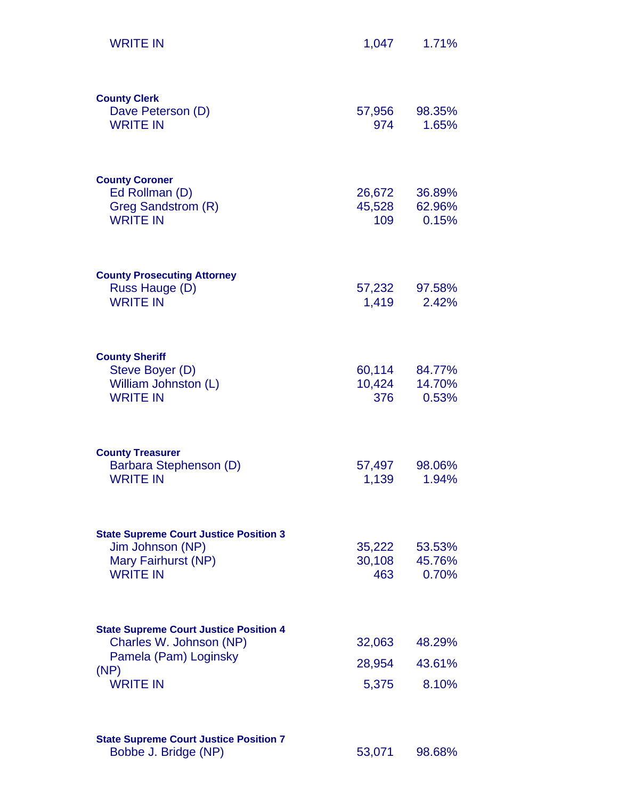| <b>WRITE IN</b>                                                                                                              | 1,047                     | 1.71%                     |
|------------------------------------------------------------------------------------------------------------------------------|---------------------------|---------------------------|
| <b>County Clerk</b><br>Dave Peterson (D)<br><b>WRITE IN</b>                                                                  | 57,956<br>974             | 98.35%<br>1.65%           |
| <b>County Coroner</b><br>Ed Rollman (D)<br>Greg Sandstrom (R)<br><b>WRITE IN</b>                                             | 26,672<br>45,528<br>109   | 36.89%<br>62.96%<br>0.15% |
| <b>County Prosecuting Attorney</b><br>Russ Hauge (D)<br><b>WRITE IN</b>                                                      | 57,232<br>1,419           | 97.58%<br>2.42%           |
| <b>County Sheriff</b><br>Steve Boyer (D)<br>William Johnston (L)<br><b>WRITE IN</b>                                          | 60,114<br>10,424<br>376   | 84.77%<br>14.70%<br>0.53% |
| <b>County Treasurer</b><br>Barbara Stephenson (D)<br><b>WRITE IN</b>                                                         | 57,497<br>1,139           | 98.06%<br>1.94%           |
| <b>State Supreme Court Justice Position 3</b><br>Jim Johnson (NP)<br>Mary Fairhurst (NP)<br><b>WRITE IN</b>                  | 35,222<br>30,108<br>463   | 53.53%<br>45.76%<br>0.70% |
| <b>State Supreme Court Justice Position 4</b><br>Charles W. Johnson (NP)<br>Pamela (Pam) Loginsky<br>(NP)<br><b>WRITE IN</b> | 32,063<br>28,954<br>5,375 | 48.29%<br>43.61%<br>8.10% |
| <b>State Supreme Court Justice Position 7</b><br>Bobbe J. Bridge (NP)                                                        | 53,071                    | 98.68%                    |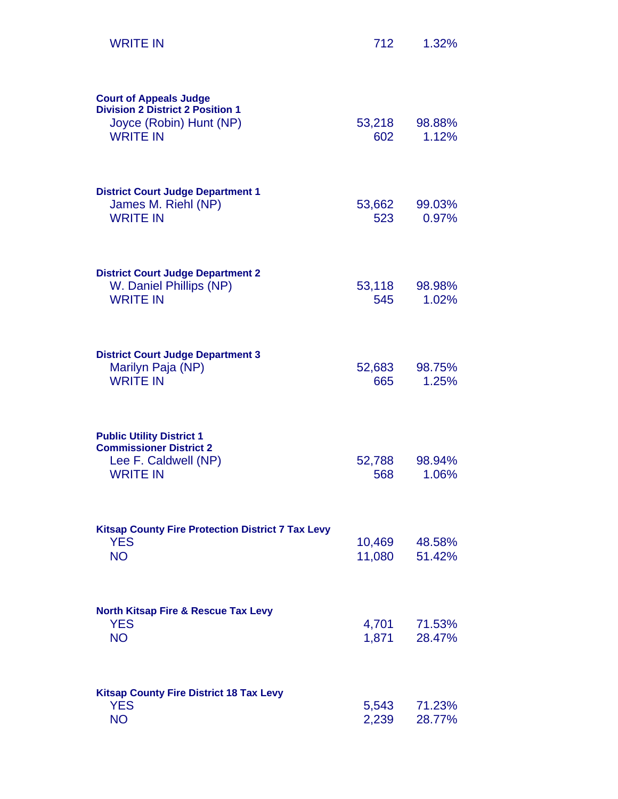| <b>WRITE IN</b>                                                                                                        | 712              | 1.32%            |
|------------------------------------------------------------------------------------------------------------------------|------------------|------------------|
| <b>Court of Appeals Judge</b><br><b>Division 2 District 2 Position 1</b><br>Joyce (Robin) Hunt (NP)<br><b>WRITE IN</b> | 53,218<br>602    | 98.88%<br>1.12%  |
| <b>District Court Judge Department 1</b><br>James M. Riehl (NP)<br><b>WRITE IN</b>                                     | 53,662<br>523    | 99.03%<br>0.97%  |
| <b>District Court Judge Department 2</b><br>W. Daniel Phillips (NP)<br><b>WRITE IN</b>                                 | 53,118<br>545    | 98.98%<br>1.02%  |
| <b>District Court Judge Department 3</b><br>Marilyn Paja (NP)<br><b>WRITE IN</b>                                       | 52,683<br>665    | 98.75%<br>1.25%  |
| <b>Public Utility District 1</b><br><b>Commissioner District 2</b><br>Lee F. Caldwell (NP)<br><b>WRITE IN</b>          | 52,788<br>568    | 98.94%<br>1.06%  |
| <b>Kitsap County Fire Protection District 7 Tax Levy</b><br><b>YES</b><br><b>NO</b>                                    | 10,469<br>11,080 | 48.58%<br>51.42% |
| <b>North Kitsap Fire &amp; Rescue Tax Levy</b><br><b>YES</b><br><b>NO</b>                                              | 4,701<br>1,871   | 71.53%<br>28.47% |
| <b>Kitsap County Fire District 18 Tax Levy</b><br><b>YES</b><br><b>NO</b>                                              | 5,543<br>2,239   | 71.23%<br>28.77% |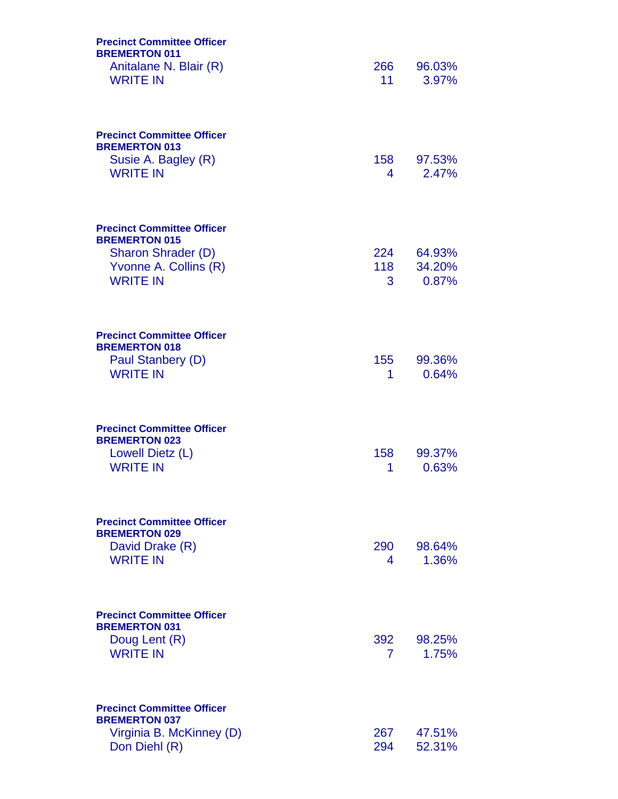| <b>Precinct Committee Officer</b><br><b>BREMERTON 011</b><br>Anitalane N. Blair (R)<br><b>WRITE IN</b>                      | 266<br>11             | 96.03%<br>3.97%           |
|-----------------------------------------------------------------------------------------------------------------------------|-----------------------|---------------------------|
| <b>Precinct Committee Officer</b><br><b>BREMERTON 013</b><br>Susie A. Bagley (R)<br><b>WRITE IN</b>                         | 158<br>4              | 97.53%<br>2.47%           |
| <b>Precinct Committee Officer</b><br><b>BREMERTON 015</b><br>Sharon Shrader (D)<br>Yvonne A. Collins (R)<br><b>WRITE IN</b> | 224<br>118<br>3       | 64.93%<br>34.20%<br>0.87% |
| <b>Precinct Committee Officer</b><br><b>BREMERTON 018</b><br>Paul Stanbery (D)<br><b>WRITE IN</b>                           | 155<br>1              | 99.36%<br>0.64%           |
| <b>Precinct Committee Officer</b><br><b>BREMERTON 023</b><br>Lowell Dietz (L)<br><b>WRITE IN</b>                            | 158<br>1              | 99.37%<br>0.63%           |
| <b>Precinct Committee Officer</b><br><b>BREMERTON 029</b><br>David Drake (R)<br><b>WRITE IN</b>                             | 290<br>4              | 98.64%<br>1.36%           |
| <b>Precinct Committee Officer</b><br><b>BREMERTON 031</b><br>Doug Lent (R)<br><b>WRITE IN</b>                               | 392<br>$\overline{7}$ | 98.25%<br>1.75%           |
| <b>Precinct Committee Officer</b><br><b>BREMERTON 037</b><br>Virginia B. McKinney (D)<br>Don Diehl (R)                      | 267<br>294            | 47.51%<br>52.31%          |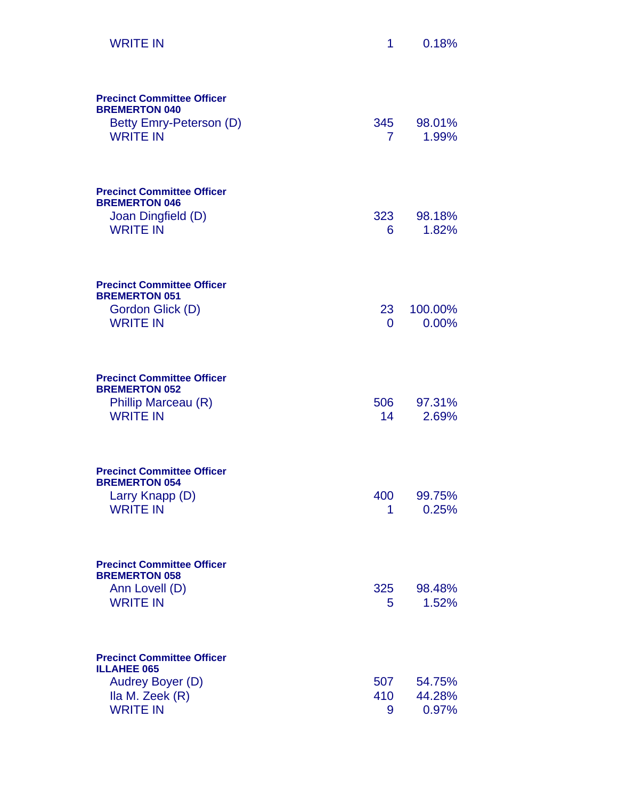| <b>WRITE IN</b>                                                                                                   | 1                     | 0.18%                     |
|-------------------------------------------------------------------------------------------------------------------|-----------------------|---------------------------|
| <b>Precinct Committee Officer</b><br><b>BREMERTON 040</b><br>Betty Emry-Peterson (D)<br><b>WRITE IN</b>           | 345<br>$\overline{7}$ | 98.01%<br>1.99%           |
| <b>Precinct Committee Officer</b><br><b>BREMERTON 046</b><br>Joan Dingfield (D)<br><b>WRITE IN</b>                | 323<br>6              | 98.18%<br>1.82%           |
| <b>Precinct Committee Officer</b><br><b>BREMERTON 051</b><br>Gordon Glick (D)<br><b>WRITE IN</b>                  | 23<br>0               | 100.00%<br>0.00%          |
| <b>Precinct Committee Officer</b><br><b>BREMERTON 052</b><br>Phillip Marceau (R)<br><b>WRITE IN</b>               | 506 —<br>14           | 97.31%<br>2.69%           |
| <b>Precinct Committee Officer</b><br><b>BREMERTON 054</b><br>Larry Knapp (D)<br><b>WRITE IN</b>                   | 400<br>1              | 99.75%<br>0.25%           |
| <b>Precinct Committee Officer</b><br><b>BREMERTON 058</b><br>Ann Lovell (D)<br><b>WRITE IN</b>                    | 325<br>5              | 98.48%<br>1.52%           |
| <b>Precinct Committee Officer</b><br><b>ILLAHEE 065</b><br>Audrey Boyer (D)<br>Ila M. Zeek (R)<br><b>WRITE IN</b> | 507<br>410<br>9       | 54.75%<br>44.28%<br>0.97% |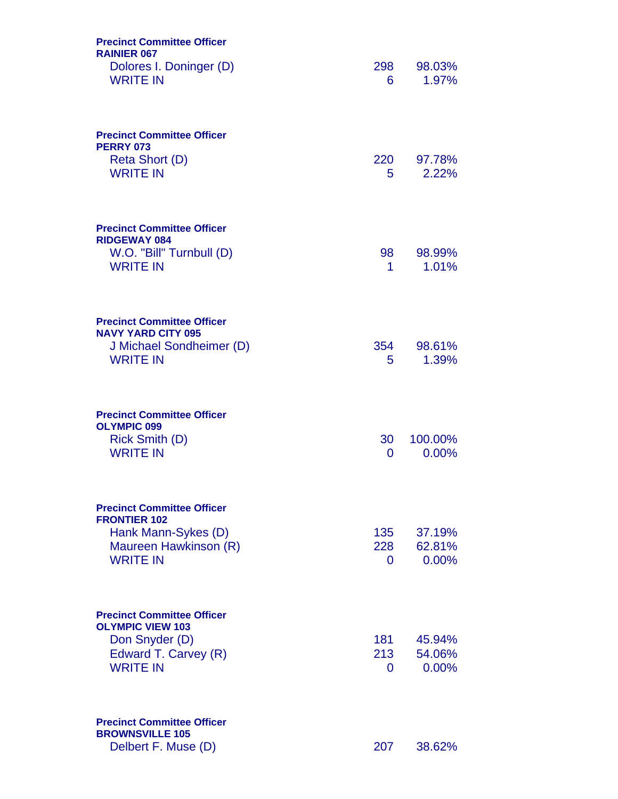| <b>Precinct Committee Officer</b><br><b>RAINIER 067</b><br>Dolores I. Doninger (D)<br><b>WRITE IN</b>                       | 298<br>6        | 98.03%<br>1.97%           |
|-----------------------------------------------------------------------------------------------------------------------------|-----------------|---------------------------|
| <b>Precinct Committee Officer</b><br><b>PERRY 073</b><br>Reta Short (D)<br><b>WRITE IN</b>                                  | 220<br>5.       | 97.78%<br>2.22%           |
| <b>Precinct Committee Officer</b><br><b>RIDGEWAY 084</b><br>W.O. "Bill" Turnbull (D)<br><b>WRITE IN</b>                     | 98<br>1.        | 98.99%<br>1.01%           |
| <b>Precinct Committee Officer</b><br><b>NAVY YARD CITY 095</b><br>J Michael Sondheimer (D)<br><b>WRITE IN</b>               | 354<br>5        | 98.61%<br>1.39%           |
| <b>Precinct Committee Officer</b><br><b>OLYMPIC 099</b><br>Rick Smith (D)<br><b>WRITE IN</b>                                | 30<br>0         | 100.00%<br>$0.00\%$       |
| <b>Precinct Committee Officer</b><br><b>FRONTIER 102</b><br>Hank Mann-Sykes (D)<br>Maureen Hawkinson (R)<br><b>WRITE IN</b> | 135<br>228<br>0 | 37.19%<br>62.81%<br>0.00% |
| <b>Precinct Committee Officer</b><br><b>OLYMPIC VIEW 103</b><br>Don Snyder (D)<br>Edward T. Carvey (R)<br><b>WRITE IN</b>   | 181<br>213<br>0 | 45.94%<br>54.06%<br>0.00% |
| <b>Precinct Committee Officer</b><br><b>BROWNSVILLE 105</b><br>Delbert F. Muse (D)                                          | 207             | 38.62%                    |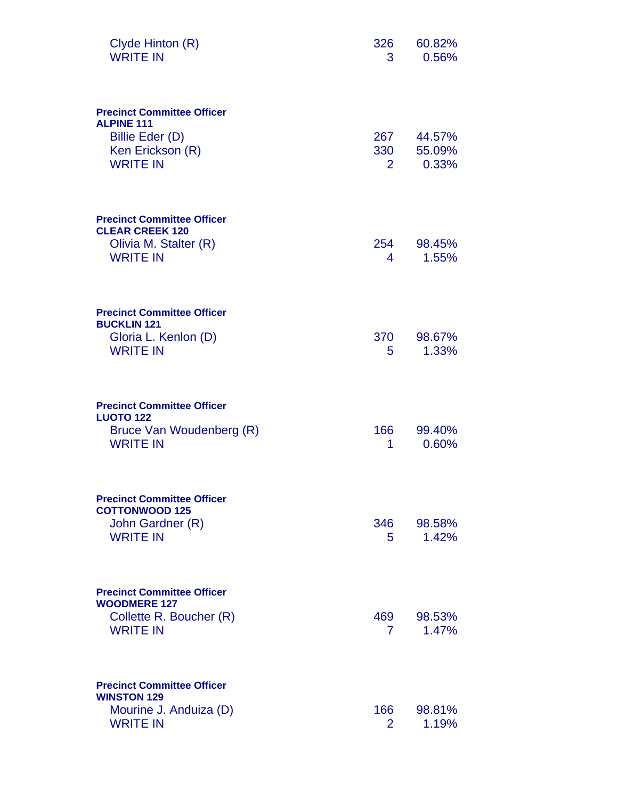| Clyde Hinton (R)<br><b>WRITE IN</b>                                                                              | 326<br>3                     | 60.82%<br>0.56%           |
|------------------------------------------------------------------------------------------------------------------|------------------------------|---------------------------|
| <b>Precinct Committee Officer</b><br><b>ALPINE 111</b><br>Billie Eder (D)<br>Ken Erickson (R)<br><b>WRITE IN</b> | 267<br>330<br>$\overline{2}$ | 44.57%<br>55.09%<br>0.33% |
| <b>Precinct Committee Officer</b><br><b>CLEAR CREEK 120</b><br>Olivia M. Stalter (R)<br><b>WRITE IN</b>          | 254<br>4                     | 98.45%<br>1.55%           |
| <b>Precinct Committee Officer</b><br><b>BUCKLIN 121</b><br>Gloria L. Kenlon (D)<br><b>WRITE IN</b>               | 370<br>5.                    | 98.67%<br>1.33%           |
| <b>Precinct Committee Officer</b><br><b>LUOTO 122</b><br>Bruce Van Woudenberg (R)<br><b>WRITE IN</b>             | 166<br>1                     | 99.40%<br>0.60%           |
| <b>Precinct Committee Officer</b><br><b>COTTONWOOD 125</b><br>John Gardner (R)<br><b>WRITE IN</b>                | 346<br>5.                    | 98.58%<br>1.42%           |
| <b>Precinct Committee Officer</b><br><b>WOODMERE 127</b><br>Collette R. Boucher (R)<br><b>WRITE IN</b>           | 469<br>$7^{\circ}$           | 98.53%<br>1.47%           |
| <b>Precinct Committee Officer</b><br><b>WINSTON 129</b><br>Mourine J. Anduiza (D)<br><b>WRITE IN</b>             | 166<br>$\overline{2}$        | 98.81%<br>1.19%           |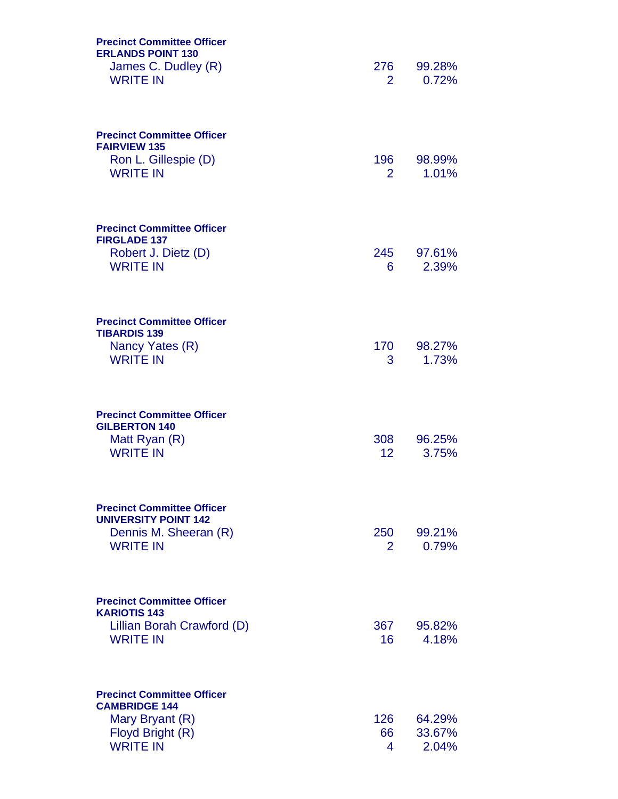| <b>Precinct Committee Officer</b><br><b>ERLANDS POINT 130</b><br>James C. Dudley (R)<br><b>WRITE IN</b>             | 276<br>$2^{\circ}$      | 99.28%<br>0.72%           |
|---------------------------------------------------------------------------------------------------------------------|-------------------------|---------------------------|
| <b>Precinct Committee Officer</b><br><b>FAIRVIEW 135</b><br>Ron L. Gillespie (D)<br><b>WRITE IN</b>                 | 196 —<br>$\overline{2}$ | 98.99%<br>1.01%           |
| <b>Precinct Committee Officer</b><br><b>FIRGLADE 137</b><br>Robert J. Dietz (D)<br><b>WRITE IN</b>                  | 245<br>6                | 97.61%<br>2.39%           |
| <b>Precinct Committee Officer</b><br><b>TIBARDIS 139</b><br>Nancy Yates (R)<br><b>WRITE IN</b>                      | 170 —<br>3              | 98.27%<br>1.73%           |
| <b>Precinct Committee Officer</b><br><b>GILBERTON 140</b><br>Matt Ryan (R)<br><b>WRITE IN</b>                       | 308<br>12 <sup>°</sup>  | 96.25%<br>3.75%           |
| <b>Precinct Committee Officer</b><br><b>UNIVERSITY POINT 142</b><br>Dennis M. Sheeran (R)<br><b>WRITE IN</b>        | 250<br>2                | 99.21%<br>0.79%           |
| <b>Precinct Committee Officer</b><br><b>KARIOTIS 143</b><br>Lillian Borah Crawford (D)<br><b>WRITE IN</b>           | 367<br>16               | 95.82%<br>4.18%           |
| <b>Precinct Committee Officer</b><br><b>CAMBRIDGE 144</b><br>Mary Bryant (R)<br>Floyd Bright (R)<br><b>WRITE IN</b> | 126<br>66<br>4          | 64.29%<br>33.67%<br>2.04% |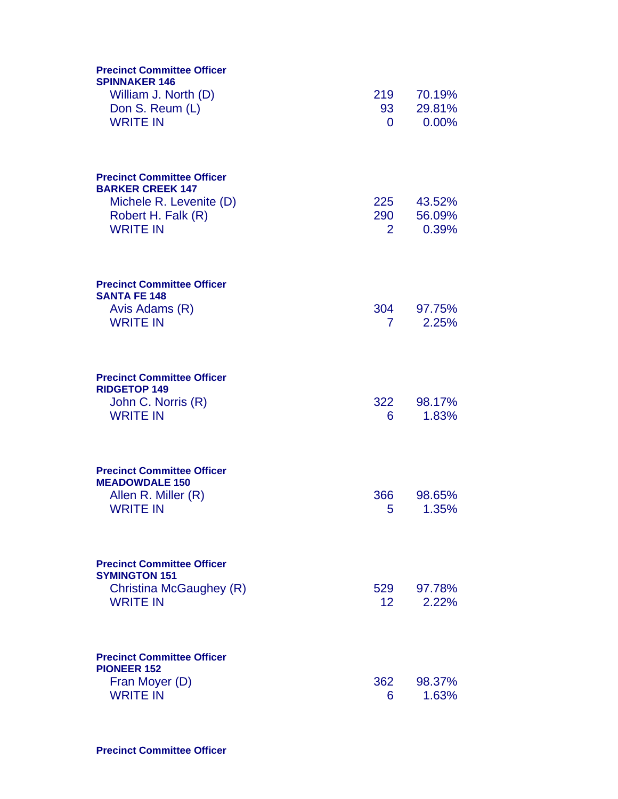| <b>Precinct Committee Officer</b><br><b>SPINNAKER 146</b><br>William J. North (D)                                                | 219                    | 70.19%                    |
|----------------------------------------------------------------------------------------------------------------------------------|------------------------|---------------------------|
| Don S. Reum (L)<br><b>WRITE IN</b>                                                                                               | 93<br>0                | 29.81%<br>0.00%           |
| <b>Precinct Committee Officer</b><br><b>BARKER CREEK 147</b><br>Michele R. Levenite (D)<br>Robert H. Falk (R)<br><b>WRITE IN</b> | 225<br>290<br>2        | 43.52%<br>56.09%<br>0.39% |
| <b>Precinct Committee Officer</b><br><b>SANTA FE 148</b><br>Avis Adams (R)<br><b>WRITE IN</b>                                    | 304<br>7 <sup>1</sup>  | 97.75%<br>2.25%           |
| <b>Precinct Committee Officer</b><br><b>RIDGETOP 149</b><br>John C. Norris (R)<br><b>WRITE IN</b>                                | 322<br>6               | 98.17%<br>1.83%           |
| <b>Precinct Committee Officer</b><br><b>MEADOWDALE 150</b><br>Allen R. Miller (R)<br><b>WRITE IN</b>                             | 366<br>5               | 98.65%<br>1.35%           |
| <b>Precinct Committee Officer</b><br><b>SYMINGTON 151</b><br>Christina McGaughey (R)<br><b>WRITE IN</b>                          | 529<br>12 <sup>2</sup> | 97.78%<br>2.22%           |
| <b>Precinct Committee Officer</b><br><b>PIONEER 152</b><br>Fran Moyer (D)<br><b>WRITE IN</b>                                     | 362<br>6               | 98.37%<br>1.63%           |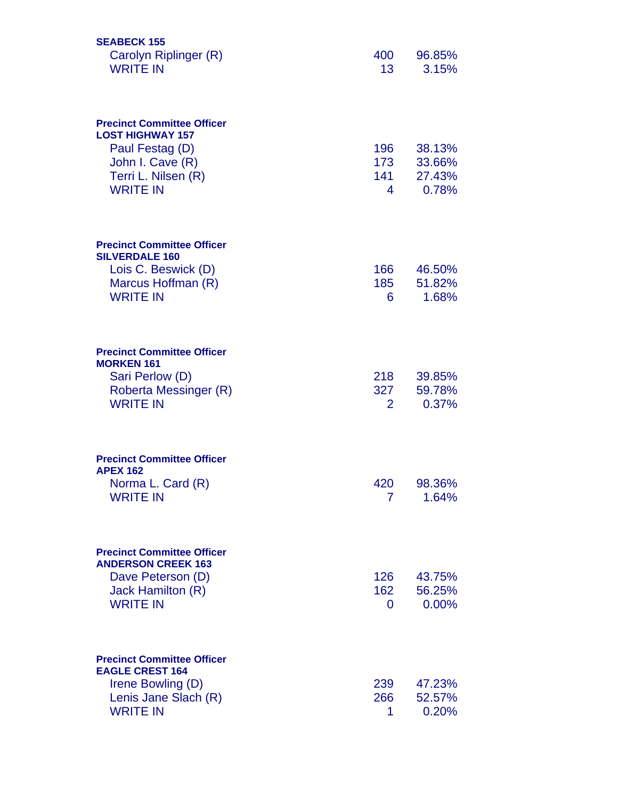| <b>SEABECK 155</b><br>Carolyn Riplinger (R)<br><b>WRITE IN</b>                                                                                | 400<br>13 <sup>1</sup> | 96.85%<br>3.15%                     |
|-----------------------------------------------------------------------------------------------------------------------------------------------|------------------------|-------------------------------------|
| <b>Precinct Committee Officer</b><br><b>LOST HIGHWAY 157</b><br>Paul Festag (D)<br>John I. Cave (R)<br>Terri L. Nilsen (R)<br><b>WRITE IN</b> | 196<br>173<br>141<br>4 | 38.13%<br>33.66%<br>27.43%<br>0.78% |
| <b>Precinct Committee Officer</b><br><b>SILVERDALE 160</b><br>Lois C. Beswick (D)<br>Marcus Hoffman (R)<br><b>WRITE IN</b>                    | 166<br>185<br>6        | 46.50%<br>51.82%<br>1.68%           |
| <b>Precinct Committee Officer</b><br><b>MORKEN 161</b><br>Sari Perlow (D)<br>Roberta Messinger (R)<br><b>WRITE IN</b>                         | 218<br>327<br>2        | 39.85%<br>59.78%<br>0.37%           |
| <b>Precinct Committee Officer</b><br><b>APEX 162</b><br>Norma L. Card (R)<br><b>WRITE IN</b>                                                  | 420<br>7               | 98.36%<br>1.64%                     |
| <b>Precinct Committee Officer</b><br><b>ANDERSON CREEK 163</b><br>Dave Peterson (D)<br>Jack Hamilton (R)<br><b>WRITE IN</b>                   | 126<br>162<br>0        | 43.75%<br>56.25%<br>$0.00\%$        |
| <b>Precinct Committee Officer</b><br><b>EAGLE CREST 164</b><br>Irene Bowling (D)<br>Lenis Jane Slach (R)<br><b>WRITE IN</b>                   | 239<br>266<br>1        | 47.23%<br>52.57%<br>0.20%           |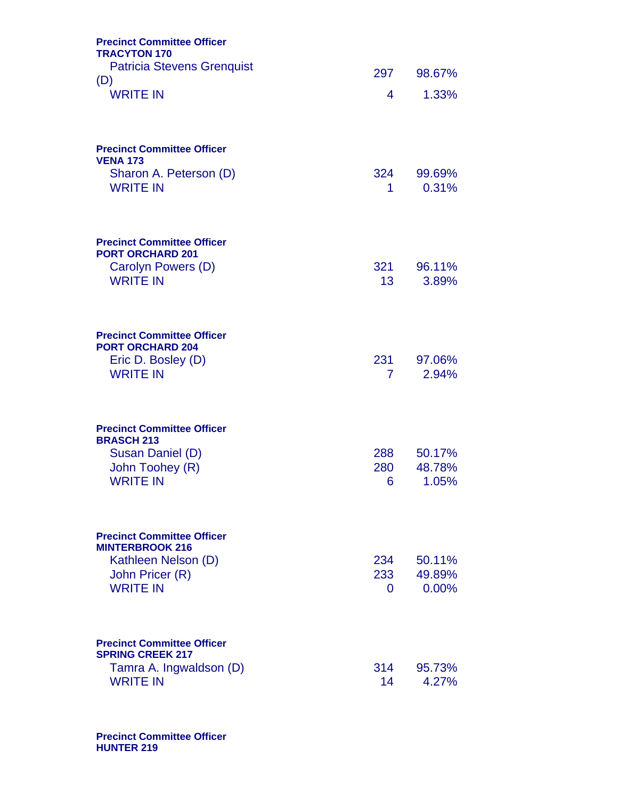| <b>Precinct Committee Officer</b><br><b>TRACYTON 170</b>     |                        |                           |
|--------------------------------------------------------------|------------------------|---------------------------|
| <b>Patricia Stevens Grenquist</b>                            | 297                    | 98.67%                    |
| (D)<br><b>WRITE IN</b>                                       | 4                      | 1.33%                     |
| <b>Precinct Committee Officer</b><br><b>VENA 173</b>         |                        |                           |
| Sharon A. Peterson (D)<br><b>WRITE IN</b>                    | 324<br>1               | 99.69%<br>0.31%           |
| <b>Precinct Committee Officer</b><br><b>PORT ORCHARD 201</b> |                        |                           |
| Carolyn Powers (D)<br><b>WRITE IN</b>                        | 321<br>13 <sup>7</sup> | 96.11%<br>3.89%           |
| <b>Precinct Committee Officer</b><br><b>PORT ORCHARD 204</b> |                        |                           |
| Eric D. Bosley (D)<br><b>WRITE IN</b>                        | 231<br>7               | 97.06%<br>2.94%           |
| <b>Precinct Committee Officer</b><br><b>BRASCH 213</b>       |                        |                           |
| Susan Daniel (D)<br>John Toohey (R)<br><b>WRITE IN</b>       | 288<br>280<br>6        | 50.17%<br>48.78%<br>1.05% |
| <b>Precinct Committee Officer</b>                            |                        |                           |
| <b>MINTERBROOK 216</b><br>Kathleen Nelson (D)                | 234                    | 50.11%                    |
| John Pricer (R)<br><b>WRITE IN</b>                           | 233<br>0               | 49.89%<br>0.00%           |
|                                                              |                        |                           |
| <b>Precinct Committee Officer</b><br><b>SPRING CREEK 217</b> |                        |                           |
| Tamra A. Ingwaldson (D)<br><b>WRITE IN</b>                   | 314<br>14              | 95.73%<br>4.27%           |

**Precinct Committee Officer HUNTER 219**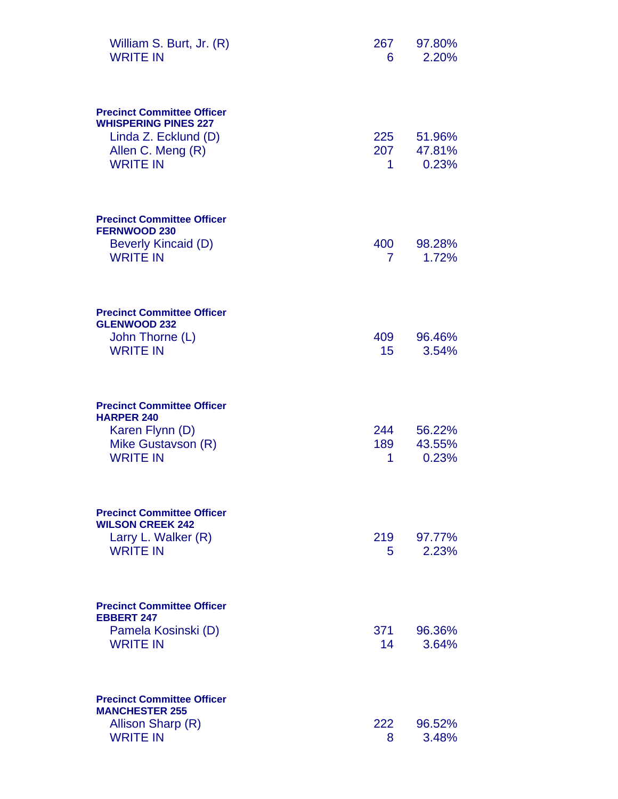| William S. Burt, Jr. (R)<br><b>WRITE IN</b>                                                                                      | 267<br>6              | 97.80%<br>2.20%           |
|----------------------------------------------------------------------------------------------------------------------------------|-----------------------|---------------------------|
| <b>Precinct Committee Officer</b><br><b>WHISPERING PINES 227</b><br>Linda Z. Ecklund (D)<br>Allen C. Meng (R)<br><b>WRITE IN</b> | 225<br>207<br>1.      | 51.96%<br>47.81%<br>0.23% |
| <b>Precinct Committee Officer</b><br><b>FERNWOOD 230</b><br><b>Beverly Kincaid (D)</b><br><b>WRITE IN</b>                        | 400<br>$\overline{7}$ | 98.28%<br>1.72%           |
| <b>Precinct Committee Officer</b><br><b>GLENWOOD 232</b><br>John Thorne (L)<br><b>WRITE IN</b>                                   | 409<br>15             | 96.46%<br>3.54%           |
| <b>Precinct Committee Officer</b><br><b>HARPER 240</b><br>Karen Flynn (D)<br>Mike Gustavson (R)<br><b>WRITE IN</b>               | 244<br>189<br>1       | 56.22%<br>43.55%<br>0.23% |
| <b>Precinct Committee Officer</b><br><b>WILSON CREEK 242</b><br>Larry L. Walker (R)<br><b>WRITE IN</b>                           | 219<br>5.             | 97.77%<br>2.23%           |
| <b>Precinct Committee Officer</b><br><b>EBBERT 247</b><br>Pamela Kosinski (D)<br><b>WRITE IN</b>                                 | 371<br>14             | 96.36%<br>3.64%           |
| <b>Precinct Committee Officer</b><br><b>MANCHESTER 255</b><br>Allison Sharp (R)<br><b>WRITE IN</b>                               | 222<br>8              | 96.52%<br>3.48%           |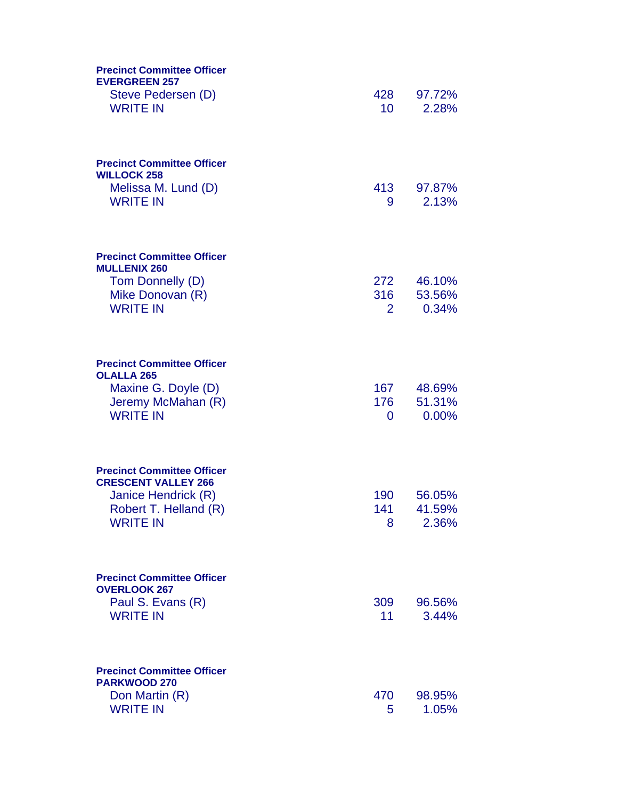| <b>Precinct Committee Officer</b><br><b>EVERGREEN 257</b><br>Steve Pedersen (D)<br><b>WRITE IN</b>                                 | 428<br>10 <sup>°</sup> | 97.72%<br>2.28%           |
|------------------------------------------------------------------------------------------------------------------------------------|------------------------|---------------------------|
| <b>Precinct Committee Officer</b><br><b>WILLOCK 258</b><br>Melissa M. Lund (D)<br><b>WRITE IN</b>                                  | 413<br>9               | 97.87%<br>2.13%           |
| <b>Precinct Committee Officer</b><br><b>MULLENIX 260</b><br>Tom Donnelly (D)<br>Mike Donovan (R)<br><b>WRITE IN</b>                | 272<br>316<br>2        | 46.10%<br>53.56%<br>0.34% |
| <b>Precinct Committee Officer</b><br><b>OLALLA 265</b><br>Maxine G. Doyle (D)<br>Jeremy McMahan (R)<br><b>WRITE IN</b>             | 167<br>176<br>$\Omega$ | 48.69%<br>51.31%<br>0.00% |
| <b>Precinct Committee Officer</b><br><b>CRESCENT VALLEY 266</b><br>Janice Hendrick (R)<br>Robert T. Helland (R)<br><b>WRITE IN</b> | 190<br>141<br>8        | 56.05%<br>41.59%<br>2.36% |
| <b>Precinct Committee Officer</b><br><b>OVERLOOK 267</b><br>Paul S. Evans (R)<br><b>WRITE IN</b>                                   | 309<br>11              | 96.56%<br>3.44%           |
| <b>Precinct Committee Officer</b><br>PARKWOOD 270<br>Don Martin (R)<br><b>WRITE IN</b>                                             | 470<br>5               | 98.95%<br>1.05%           |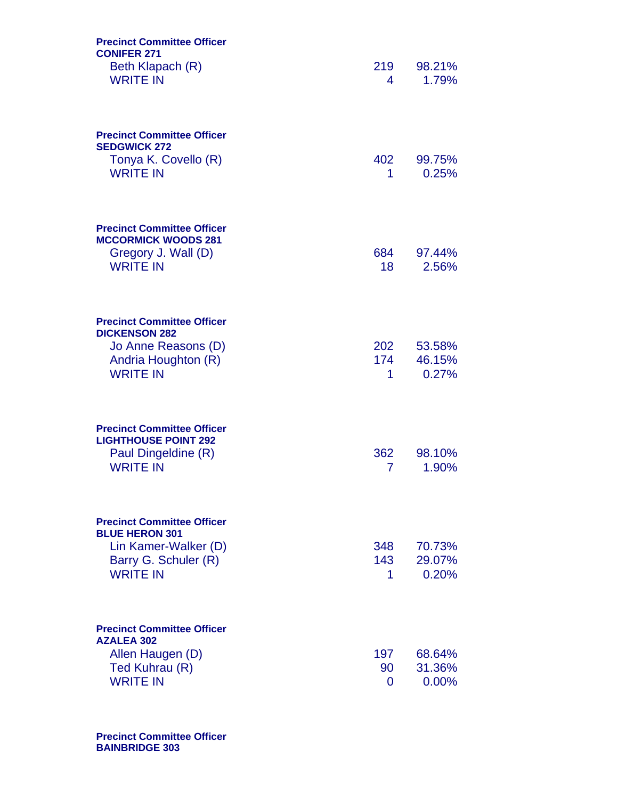| <b>Precinct Committee Officer</b><br><b>CONIFER 271</b><br>Beth Klapach (R)<br><b>WRITE IN</b>                                | 219<br>4        | 98.21%<br>1.79%           |
|-------------------------------------------------------------------------------------------------------------------------------|-----------------|---------------------------|
| <b>Precinct Committee Officer</b><br><b>SEDGWICK 272</b><br>Tonya K. Covello (R)<br><b>WRITE IN</b>                           | 402<br>1        | 99.75%<br>0.25%           |
| <b>Precinct Committee Officer</b><br><b>MCCORMICK WOODS 281</b><br>Gregory J. Wall (D)<br><b>WRITE IN</b>                     | 684<br>18       | 97.44%<br>2.56%           |
| <b>Precinct Committee Officer</b><br><b>DICKENSON 282</b><br>Jo Anne Reasons (D)<br>Andria Houghton (R)<br><b>WRITE IN</b>    | 202<br>174<br>1 | 53.58%<br>46.15%<br>0.27% |
| <b>Precinct Committee Officer</b><br><b>LIGHTHOUSE POINT 292</b><br>Paul Dingeldine (R)<br><b>WRITE IN</b>                    | 362<br>7        | 98.10%<br>1.90%           |
| <b>Precinct Committee Officer</b><br><b>BLUE HERON 301</b><br>Lin Kamer-Walker (D)<br>Barry G. Schuler (R)<br><b>WRITE IN</b> | 348<br>143<br>1 | 70.73%<br>29.07%<br>0.20% |
| <b>Precinct Committee Officer</b><br><b>AZALEA 302</b><br>Allen Haugen (D)<br>Ted Kuhrau (R)<br><b>WRITE IN</b>               | 197<br>90<br>0  | 68.64%<br>31.36%<br>0.00% |

**Precinct Committee Officer BAINBRIDGE 303**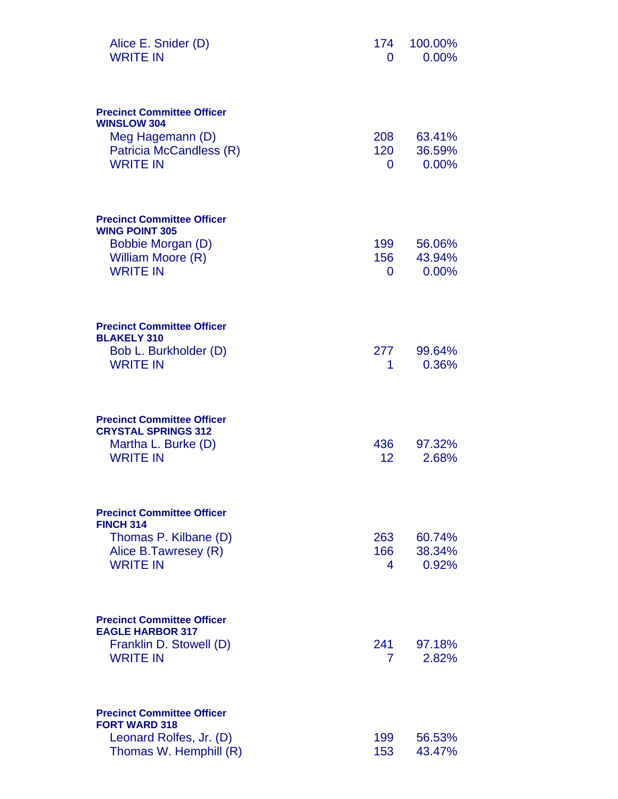| Alice E. Snider (D)<br><b>WRITE IN</b>                                                                 | 174<br>0               | 100.00%<br>0.00% |
|--------------------------------------------------------------------------------------------------------|------------------------|------------------|
| <b>Precinct Committee Officer</b><br><b>WINSLOW 304</b><br>Meg Hagemann (D)<br>Patricia McCandless (R) | 208<br>120             | 63.41%<br>36.59% |
| <b>WRITE IN</b>                                                                                        | 0                      | 0.00%            |
| <b>Precinct Committee Officer</b><br><b>WING POINT 305</b>                                             |                        |                  |
| Bobbie Morgan (D)<br>William Moore (R)                                                                 | 199<br>156             | 56.06%<br>43.94% |
| <b>WRITE IN</b>                                                                                        | $\mathbf{0}$           | 0.00%            |
| <b>Precinct Committee Officer</b><br><b>BLAKELY 310</b>                                                |                        |                  |
| Bob L. Burkholder (D)<br><b>WRITE IN</b>                                                               | 277<br>1               | 99.64%<br>0.36%  |
| <b>Precinct Committee Officer</b><br><b>CRYSTAL SPRINGS 312</b>                                        |                        |                  |
| Martha L. Burke (D)<br><b>WRITE IN</b>                                                                 | 436<br>12 <sub>2</sub> | 97.32%<br>2.68%  |
| <b>Precinct Committee Officer</b><br><b>FINCH 314</b>                                                  |                        |                  |
| Thomas P. Kilbane (D)                                                                                  | 263<br>166             | 60.74%<br>38.34% |
| Alice B.Tawresey (R)<br><b>WRITE IN</b>                                                                | 4                      | 0.92%            |
| <b>Precinct Committee Officer</b><br><b>EAGLE HARBOR 317</b>                                           |                        |                  |
| Franklin D. Stowell (D)<br><b>WRITE IN</b>                                                             | 241<br>7               | 97.18%<br>2.82%  |
| <b>Precinct Committee Officer</b><br><b>FORT WARD 318</b>                                              |                        |                  |
| Leonard Rolfes, Jr. (D)<br>Thomas W. Hemphill (R)                                                      | 199<br>153             | 56.53%<br>43.47% |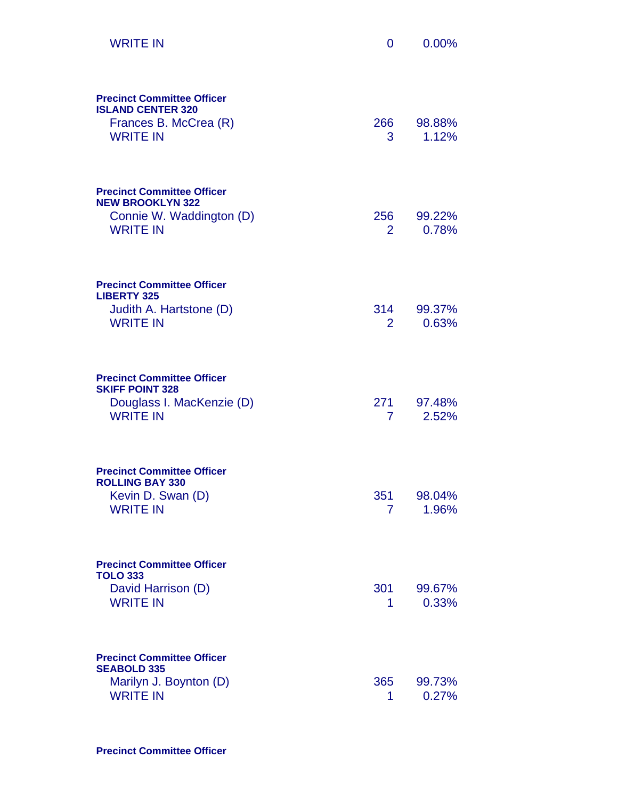| <b>WRITE IN</b>                                                                                             | 0                     | 0.00%           |
|-------------------------------------------------------------------------------------------------------------|-----------------------|-----------------|
| <b>Precinct Committee Officer</b><br><b>ISLAND CENTER 320</b><br>Frances B. McCrea (R)<br><b>WRITE IN</b>   | 266<br>3              | 98.88%<br>1.12% |
| <b>Precinct Committee Officer</b><br><b>NEW BROOKLYN 322</b><br>Connie W. Waddington (D)<br><b>WRITE IN</b> | 256<br>$\overline{2}$ | 99.22%<br>0.78% |
| <b>Precinct Committee Officer</b><br><b>LIBERTY 325</b><br>Judith A. Hartstone (D)<br><b>WRITE IN</b>       | 314<br>$\overline{2}$ | 99.37%<br>0.63% |
| <b>Precinct Committee Officer</b><br><b>SKIFF POINT 328</b><br>Douglass I. MacKenzie (D)<br><b>WRITE IN</b> | 271<br>$7^{\circ}$    | 97.48%<br>2.52% |
| <b>Precinct Committee Officer</b><br><b>ROLLING BAY 330</b><br>Kevin D. Swan (D)<br><b>WRITE IN</b>         | 351<br>7              | 98.04%<br>1.96% |
| <b>Precinct Committee Officer</b><br><b>TOLO 333</b><br>David Harrison (D)<br><b>WRITE IN</b>               | 301<br>1              | 99.67%<br>0.33% |
| <b>Precinct Committee Officer</b><br><b>SEABOLD 335</b><br>Marilyn J. Boynton (D)<br><b>WRITE IN</b>        | 365<br>1              | 99.73%<br>0.27% |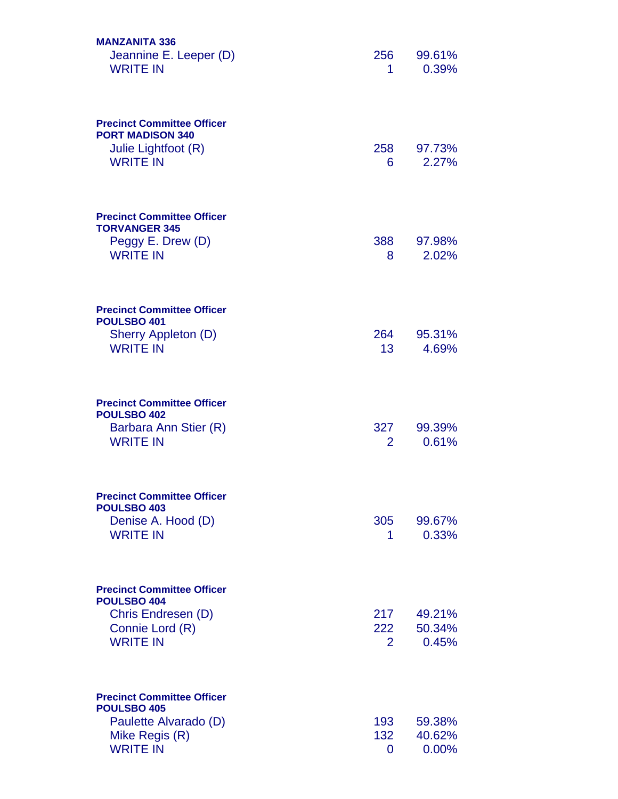| <b>MANZANITA 336</b><br>Jeannine E. Leeper (D)<br><b>WRITE IN</b>                                              | 256<br>1                     | 99.61%<br>0.39%           |
|----------------------------------------------------------------------------------------------------------------|------------------------------|---------------------------|
| <b>Precinct Committee Officer</b><br><b>PORT MADISON 340</b><br>Julie Lightfoot (R)<br><b>WRITE IN</b>         | 258<br>6                     | 97.73%<br>2.27%           |
| <b>Precinct Committee Officer</b><br><b>TORVANGER 345</b><br>Peggy E. Drew (D)<br><b>WRITE IN</b>              | 388<br>8                     | 97.98%<br>2.02%           |
| <b>Precinct Committee Officer</b><br>POULSBO 401<br>Sherry Appleton (D)<br><b>WRITE IN</b>                     | 264<br>13                    | 95.31%<br>4.69%           |
| <b>Precinct Committee Officer</b><br><b>POULSBO 402</b><br>Barbara Ann Stier (R)<br><b>WRITE IN</b>            | 327<br>$\overline{2}$        | 99.39%<br>0.61%           |
| <b>Precinct Committee Officer</b><br>POULSBO 403<br>Denise A. Hood (D)<br><b>WRITE IN</b>                      | 305<br>1                     | 99.67%<br>0.33%           |
| <b>Precinct Committee Officer</b><br>POULSBO 404<br>Chris Endresen (D)<br>Connie Lord (R)<br><b>WRITE IN</b>   | 217<br>222<br>$\overline{2}$ | 49.21%<br>50.34%<br>0.45% |
| <b>Precinct Committee Officer</b><br>POULSBO 405<br>Paulette Alvarado (D)<br>Mike Regis (R)<br><b>WRITE IN</b> | 193<br>132<br>0              | 59.38%<br>40.62%<br>0.00% |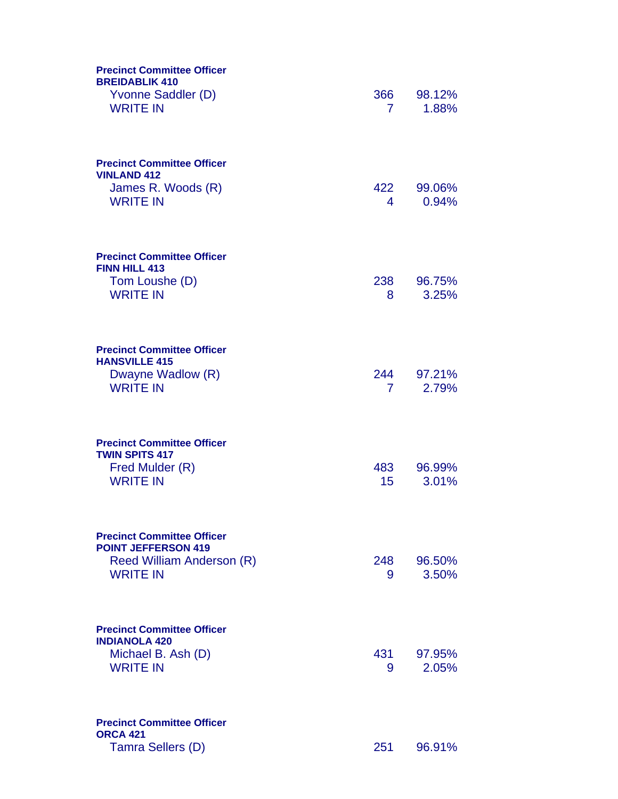| <b>Precinct Committee Officer</b><br><b>BREIDABLIK 410</b><br>Yvonne Saddler (D)<br><b>WRITE IN</b>             | 366<br>$\mathbf{7}$   | 98.12%<br>1.88% |
|-----------------------------------------------------------------------------------------------------------------|-----------------------|-----------------|
| <b>Precinct Committee Officer</b><br><b>VINLAND 412</b><br>James R. Woods (R)<br><b>WRITE IN</b>                | 422<br>4              | 99.06%<br>0.94% |
| <b>Precinct Committee Officer</b><br><b>FINN HILL 413</b><br>Tom Loushe (D)<br><b>WRITE IN</b>                  | 238<br>8              | 96.75%<br>3.25% |
| <b>Precinct Committee Officer</b><br><b>HANSVILLE 415</b><br>Dwayne Wadlow (R)<br><b>WRITE IN</b>               | 244<br>7 <sup>1</sup> | 97.21%<br>2.79% |
| <b>Precinct Committee Officer</b><br><b>TWIN SPITS 417</b><br>Fred Mulder (R)<br><b>WRITE IN</b>                | 483<br>15             | 96.99%<br>3.01% |
| <b>Precinct Committee Officer</b><br><b>POINT JEFFERSON 419</b><br>Reed William Anderson (R)<br><b>WRITE IN</b> | 248<br>9              | 96.50%<br>3.50% |
| <b>Precinct Committee Officer</b><br><b>INDIANOLA 420</b><br>Michael B. Ash (D)<br><b>WRITE IN</b>              | 431<br>9              | 97.95%<br>2.05% |
| <b>Precinct Committee Officer</b><br><b>ORCA 421</b><br>Tamra Sellers (D)                                       | 251                   | 96.91%          |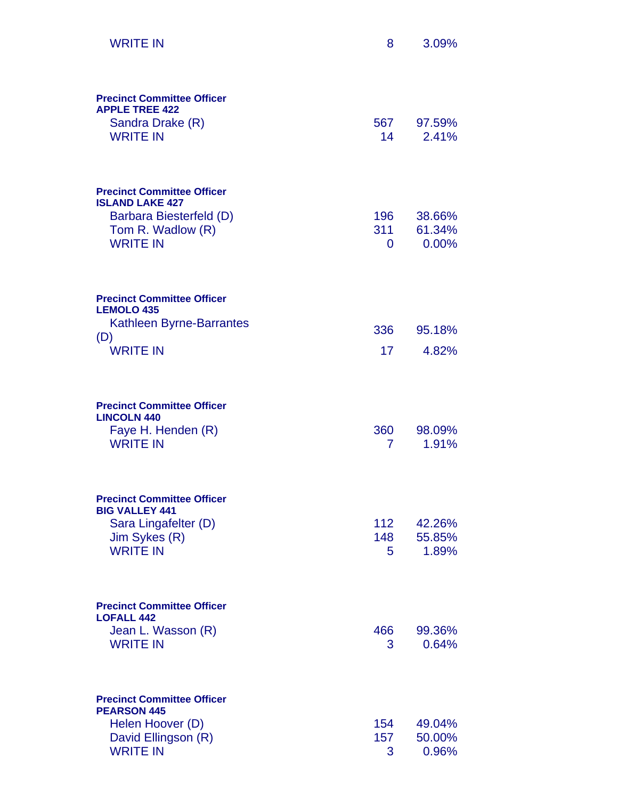| <b>WRITE IN</b>                                                                                   | 8                            | 3.09%                     |
|---------------------------------------------------------------------------------------------------|------------------------------|---------------------------|
| <b>Precinct Committee Officer</b><br><b>APPLE TREE 422</b><br>Sandra Drake (R)<br><b>WRITE IN</b> | 567<br>14                    | 97.59%<br>2.41%           |
| <b>Precinct Committee Officer</b><br><b>ISLAND LAKE 427</b><br>Barbara Biesterfeld (D)            | 196                          | 38.66%                    |
| Tom R. Wadlow (R)<br><b>WRITE IN</b>                                                              | 311<br>0                     | 61.34%<br>0.00%           |
| <b>Precinct Committee Officer</b><br><b>LEMOLO 435</b>                                            |                              |                           |
| <b>Kathleen Byrne-Barrantes</b><br>(D)                                                            | 336                          | 95.18%                    |
| <b>WRITE IN</b>                                                                                   | 17                           | 4.82%                     |
| <b>Precinct Committee Officer</b><br><b>LINCOLN 440</b>                                           |                              |                           |
| Faye H. Henden (R)<br><b>WRITE IN</b>                                                             | 360<br>7                     | 98.09%<br>1.91%           |
| <b>Precinct Committee Officer</b><br><b>BIG VALLEY 441</b>                                        |                              |                           |
| Sara Lingafelter (D)<br>Jim Sykes (R)                                                             | 112 <sub>1</sub><br>148      | 42.26%<br>55.85%          |
| <b>WRITE IN</b>                                                                                   | 5                            | 1.89%                     |
| <b>Precinct Committee Officer</b><br><b>LOFALL 442</b>                                            |                              |                           |
| Jean L. Wasson (R)<br><b>WRITE IN</b>                                                             | 466<br>3                     | 99.36%<br>0.64%           |
| <b>Precinct Committee Officer</b><br><b>PEARSON 445</b>                                           |                              |                           |
| Helen Hoover (D)<br>David Ellingson (R)<br><b>WRITE IN</b>                                        | 154<br>157 <sub>2</sub><br>3 | 49.04%<br>50.00%<br>0.96% |